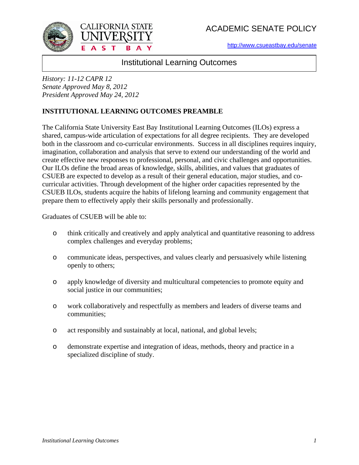ACADEMIC SENATE POLICY

[http://www.csueastbay.edu/senate](http://www20.csueastbay.edu/faculty/senate/)





Institutional Learning Outcomes

*History: 11-12 CAPR 12 Senate Approved May 8, 2012 President Approved May 24, 2012*

# **INSTITUTIONAL LEARNING OUTCOMES PREAMBLE**

The California State University East Bay Institutional Learning Outcomes (ILOs) express a shared, campus-wide articulation of expectations for all degree recipients. They are developed both in the classroom and co-curricular environments. Success in all disciplines requires inquiry, imagination, collaboration and analysis that serve to extend our understanding of the world and create effective new responses to professional, personal, and civic challenges and opportunities. Our ILOs define the broad areas of knowledge, skills, abilities, and values that graduates of CSUEB are expected to develop as a result of their general education, major studies, and cocurricular activities. Through development of the higher order capacities represented by the CSUEB ILOs, students acquire the habits of lifelong learning and community engagement that prepare them to effectively apply their skills personally and professionally.

Graduates of CSUEB will be able to:

- o think critically and creatively and apply analytical and quantitative reasoning to address complex challenges and everyday problems;
- o communicate ideas, perspectives, and values clearly and persuasively while listening openly to others;
- o apply knowledge of diversity and multicultural competencies to promote equity and social justice in our communities;
- o work collaboratively and respectfully as members and leaders of diverse teams and communities;
- o act responsibly and sustainably at local, national, and global levels;
- o demonstrate expertise and integration of ideas, methods, theory and practice in a specialized discipline of study.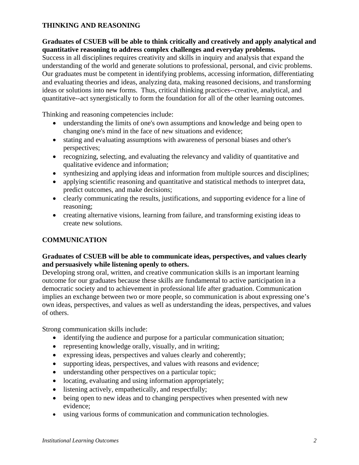### **THINKING AND REASONING**

### **Graduates of CSUEB will be able to think critically and creatively and apply analytical and quantitative reasoning to address complex challenges and everyday problems.**

Success in all disciplines requires creativity and skills in inquiry and analysis that expand the understanding of the world and generate solutions to professional, personal, and civic problems. Our graduates must be competent in identifying problems, accessing information, differentiating and evaluating theories and ideas, analyzing data, making reasoned decisions, and transforming ideas or solutions into new forms. Thus, critical thinking practices--creative, analytical, and quantitative--act synergistically to form the foundation for all of the other learning outcomes.

Thinking and reasoning competencies include:

- understanding the limits of one's own assumptions and knowledge and being open to changing one's mind in the face of new situations and evidence;
- stating and evaluating assumptions with awareness of personal biases and other's perspectives;
- recognizing, selecting, and evaluating the relevancy and validity of quantitative and qualitative evidence and information;
- synthesizing and applying ideas and information from multiple sources and disciplines;
- applying scientific reasoning and quantitative and statistical methods to interpret data, predict outcomes, and make decisions;
- clearly communicating the results, justifications, and supporting evidence for a line of reasoning;
- creating alternative visions, learning from failure, and transforming existing ideas to create new solutions.

## **COMMUNICATION**

### **Graduates of CSUEB will be able to communicate ideas, perspectives, and values clearly and persuasively while listening openly to others.**

Developing strong oral, written, and creative communication skills is an important learning outcome for our graduates because these skills are fundamental to active participation in a democratic society and to achievement in professional life after graduation. Communication implies an exchange between two or more people, so communication is about expressing one's own ideas, perspectives, and values as well as understanding the ideas, perspectives, and values of others.

Strong communication skills include:

- identifying the audience and purpose for a particular communication situation;
- representing knowledge orally, visually, and in writing;
- expressing ideas, perspectives and values clearly and coherently;
- supporting ideas, perspectives, and values with reasons and evidence;
- understanding other perspectives on a particular topic;
- locating, evaluating and using information appropriately;
- listening actively, empathetically, and respectfully;
- being open to new ideas and to changing perspectives when presented with new evidence;
- using various forms of communication and communication technologies.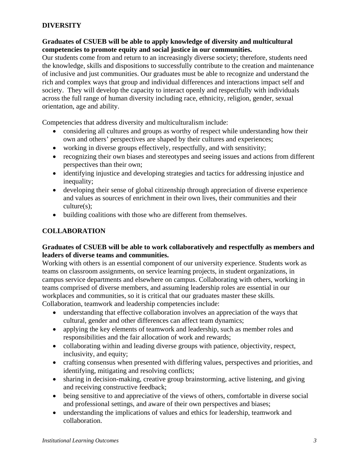### **DIVERSITY**

### **Graduates of CSUEB will be able to apply knowledge of diversity and multicultural competencies to promote equity and social justice in our communities.**

Our students come from and return to an increasingly diverse society; therefore, students need the knowledge, skills and dispositions to successfully contribute to the creation and maintenance of inclusive and just communities. Our graduates must be able to recognize and understand the rich and complex ways that group and individual differences and interactions impact self and society. They will develop the capacity to interact openly and respectfully with individuals across the full range of human diversity including race, ethnicity, religion, gender, sexual orientation, age and ability.

Competencies that address diversity and multiculturalism include:

- considering all cultures and groups as worthy of respect while understanding how their own and others' perspectives are shaped by their cultures and experiences;
- working in diverse groups effectively, respectfully, and with sensitivity;
- recognizing their own biases and stereotypes and seeing issues and actions from different perspectives than their own;
- identifying injustice and developing strategies and tactics for addressing injustice and inequality;
- developing their sense of global citizenship through appreciation of diverse experience and values as sources of enrichment in their own lives, their communities and their culture(s);
- building coalitions with those who are different from themselves.

### **COLLABORATION**

#### **Graduates of CSUEB will be able to work collaboratively and respectfully as members and leaders of diverse teams and communities.**

Working with others is an essential component of our university experience. Students work as teams on classroom assignments, on service learning projects, in student organizations, in campus service departments and elsewhere on campus. Collaborating with others, working in teams comprised of diverse members, and assuming leadership roles are essential in our workplaces and communities, so it is critical that our graduates master these skills. Collaboration, teamwork and leadership competencies include:

- understanding that effective collaboration involves an appreciation of the ways that cultural, gender and other differences can affect team dynamics;
- applying the key elements of teamwork and leadership, such as member roles and responsibilities and the fair allocation of work and rewards;
- collaborating within and leading diverse groups with patience, objectivity, respect, inclusivity, and equity;
- crafting consensus when presented with differing values, perspectives and priorities, and identifying, mitigating and resolving conflicts;
- sharing in decision-making, creative group brainstorming, active listening, and giving and receiving constructive feedback;
- being sensitive to and appreciative of the views of others, comfortable in diverse social and professional settings, and aware of their own perspectives and biases;
- understanding the implications of values and ethics for leadership, teamwork and collaboration.